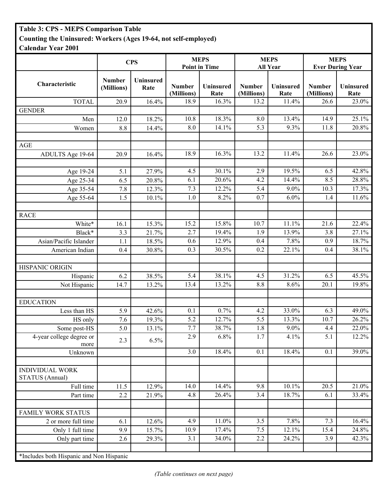## **Table 3: CPS - MEPS Comparison Table Counting the Uninsured: Workers (Ages 19-64, not self-employed)**

**Calendar Year 2001**

|                                                  | <b>CPS</b>                  |                   | <b>MEPS</b><br><b>Point in Time</b> |                   | <b>MEPS</b><br><b>All Year</b> |                   | <b>MEPS</b><br><b>Ever During Year</b> |                   |
|--------------------------------------------------|-----------------------------|-------------------|-------------------------------------|-------------------|--------------------------------|-------------------|----------------------------------------|-------------------|
|                                                  |                             |                   |                                     |                   |                                |                   |                                        |                   |
| Characteristic                                   | <b>Number</b><br>(Millions) | Uninsured<br>Rate | <b>Number</b><br>(Millions)         | Uninsured<br>Rate | <b>Number</b><br>(Millions)    | Uninsured<br>Rate | Number<br>(Millions)                   | Uninsured<br>Rate |
| <b>TOTAL</b>                                     | 20.9                        | 16.4%             | 18.9                                | 16.3%             | 13.2                           | 11.4%             | 26.6                                   | 23.0%             |
| <b>GENDER</b>                                    |                             |                   |                                     |                   |                                |                   |                                        |                   |
| Men                                              | 12.0                        | 18.2%             | 10.8                                | 18.3%             | 8.0                            | 13.4%             | 14.9                                   | 25.1%             |
| Women                                            | 8.8                         | 14.4%             | 8.0                                 | $14.1\%$          | 5.3                            | 9.3%              | 11.8                                   | 20.8%             |
|                                                  |                             |                   |                                     |                   |                                |                   |                                        |                   |
| <b>AGE</b>                                       |                             |                   |                                     |                   |                                |                   |                                        |                   |
| ADULTS Age 19-64                                 | 20.9                        | 16.4%             | 18.9                                | 16.3%             | 13.2                           | 11.4%             | 26.6                                   | 23.0%             |
|                                                  |                             |                   |                                     |                   |                                |                   |                                        |                   |
| Age 19-24                                        | 5.1                         | 27.9%             | 4.5                                 | 30.1%             | 2.9                            | 19.5%             | 6.5                                    | 42.8%             |
| Age 25-34                                        | 6.5                         | 20.8%             | 6.1                                 | 20.6%             | 4.2                            | 14.4%             | 8.5                                    | 28.8%             |
| Age 35-54                                        | 7.8                         | 12.3%             | 7.3                                 | 12.2%             | 5.4                            | 9.0%              | 10.3                                   | 17.3%             |
| Age 55-64                                        | 1.5                         | 10.1%             | 1.0                                 | 8.2%              | 0.7                            | 6.0%              | 1.4                                    | 11.6%             |
|                                                  |                             |                   |                                     |                   |                                |                   |                                        |                   |
| <b>RACE</b>                                      |                             |                   |                                     |                   |                                |                   |                                        |                   |
| White*                                           | 16.1                        | 15.3%             | 15.2                                | 15.8%             | 10.7                           | 11.1%             | 21.6                                   | 22.4%             |
| Black*                                           | 3.3                         | 21.7%             | 2.7                                 | 19.4%             | 1.9                            | 13.9%             | 3.8                                    | 27.1%             |
| Asian/Pacific Islander                           | 1.1                         | 18.5%             | 0.6                                 | 12.9%             | 0.4                            | 7.8%              | 0.9                                    | 18.7%             |
| American Indian                                  | 0.4                         | 30.8%             | 0.3                                 | 30.5%             | 0.2                            | 22.1%             | 0.4                                    | 38.1%             |
|                                                  |                             |                   |                                     |                   |                                |                   |                                        |                   |
| HISPANIC ORIGIN                                  |                             |                   |                                     |                   |                                |                   |                                        |                   |
| Hispanic                                         | 6.2                         | 38.5%             | 5.4                                 | 38.1%             | 4.5                            | 31.2%             | 6.5                                    | 45.5%             |
| Not Hispanic                                     | 14.7                        | 13.2%             | 13.4                                | 13.2%             | 8.8                            | 8.6%              | 20.1                                   | 19.8%             |
|                                                  |                             |                   |                                     |                   |                                |                   |                                        |                   |
| <b>EDUCATION</b>                                 |                             |                   |                                     |                   |                                |                   |                                        |                   |
| Less than HS                                     | 5.9                         | 42.6%             | 0.1                                 | 0.7%              | 4.2                            | 33.0%             | 6.3                                    | 49.0%             |
| HS only                                          | 7.6                         | 19.3%             | 5.2                                 | 12.7%             | 5.5                            | 13.3%             | 10.7                                   | 26.2%             |
| Some post-HS                                     | 5.0                         | 13.1%             | 7.7                                 | 38.7%             | 1.8                            | $9.0\%$           | 4.4                                    | 22.0%             |
| 4-year college degree or<br>more                 | 2.3                         | 6.5%              | 2.9                                 | 6.8%              | 1.7                            | 4.1%              | 5.1                                    | 12.2%             |
| Unknown                                          |                             |                   | 3.0                                 | 18.4%             | 0.1                            | 18.4%             | 0.1                                    | 39.0%             |
|                                                  |                             |                   |                                     |                   |                                |                   |                                        |                   |
| <b>INDIVIDUAL WORK</b><br><b>STATUS</b> (Annual) |                             |                   |                                     |                   |                                |                   |                                        |                   |
| Full time                                        | 11.5                        | 12.9%             | 14.0                                | 14.4%             | 9.8                            | 10.1%             | 20.5                                   | 21.0%             |
| Part time                                        | 2.2                         | 21.9%             | 4.8                                 | 26.4%             | 3.4                            | 18.7%             | 6.1                                    | 33.4%             |
|                                                  |                             |                   |                                     |                   |                                |                   |                                        |                   |
| <b>FAMILY WORK STATUS</b>                        |                             |                   |                                     |                   |                                |                   |                                        |                   |
| 2 or more full time                              | 6.1                         | 12.6%             | 4.9                                 | 11.0%             | 3.5                            | 7.8%              | 7.3                                    | 16.4%             |
| Only 1 full time                                 | 9.9                         | 15.7%             | 10.9                                | 17.4%             | 7.5                            | 12.1%             | 15.4                                   | 24.8%             |
| Only part time                                   | 2.6                         | 29.3%             | 3.1                                 | 34.0%             | 2.2                            | 24.2%             | 3.9                                    | 42.3%             |
|                                                  |                             |                   |                                     |                   |                                |                   |                                        |                   |
| *Includes both Hispanic and Non Hispanic         |                             |                   |                                     |                   |                                |                   |                                        |                   |

*(Table continues on next page)*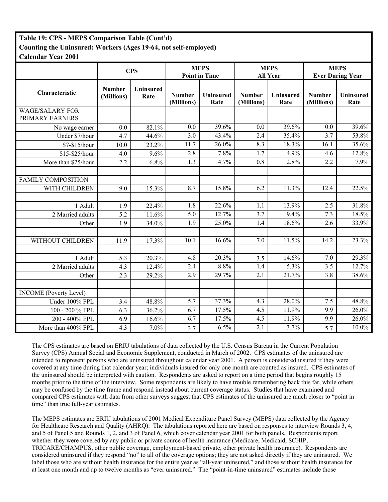## **Table 19: CPS - MEPS Comparison Table (Cont'd) Counting the Uninsured: Workers (Ages 19-64, not self-employed) Calendar Year 2001**

|                                           | <b>CPS</b>                  |                   | <b>MEPS</b><br><b>Point in Time</b> |                   | <b>MEPS</b><br><b>All Year</b> |                          | <b>MEPS</b><br><b>Ever During Year</b> |                          |
|-------------------------------------------|-----------------------------|-------------------|-------------------------------------|-------------------|--------------------------------|--------------------------|----------------------------------------|--------------------------|
| Characteristic                            | <b>Number</b><br>(Millions) | Uninsured<br>Rate | <b>Number</b><br>(Millions)         | Uninsured<br>Rate | <b>Number</b><br>(Millions)    | <b>Uninsured</b><br>Rate | <b>Number</b><br>(Millions)            | <b>Uninsured</b><br>Rate |
| <b>WAGE/SALARY FOR</b><br>PRIMARY EARNERS |                             |                   |                                     |                   |                                |                          |                                        |                          |
| No wage earner                            | 0.0                         | 82.1%             | 0.0                                 | 39.6%             | 0.0                            | 39.6%                    | 0.0                                    | 39.6%                    |
| Under \$7/hour                            | 4.7                         | 44.6%             | 3.0                                 | 43.4%             | 2.4                            | 35.4%                    | 3.7                                    | 53.8%                    |
| \$7-\$15/hour                             | 10.0                        | 23.2%             | 11.7                                | 26.0%             | 8.3                            | 18.3%                    | 16.1                                   | 35.6%                    |
| \$15-\$25/hour                            | 4.0                         | 9.6%              | 2.8                                 | 7.8%              | $\overline{1.7}$               | 4.9%                     | 4.6                                    | 12.8%                    |
| More than \$25/hour                       | 2.2                         | 6.8%              | 1.3                                 | 4.7%              | 0.8                            | 2.8%                     | 2.2                                    | 7.9%                     |
|                                           |                             |                   |                                     |                   |                                |                          |                                        |                          |
| <b>FAMILY COMPOSITION</b>                 |                             |                   |                                     |                   |                                |                          |                                        |                          |
| WITH CHILDREN                             | 9.0                         | 15.3%             | 8.7                                 | 15.8%             | 6.2                            | 11.3%                    | 12.4                                   | 22.5%                    |
|                                           |                             |                   |                                     |                   |                                |                          |                                        |                          |
| 1 Adult                                   | 1.9                         | 22.4%             | 1.8                                 | 22.6%             | 1.1                            | 13.9%                    | 2.5                                    | 31.8%                    |
| 2 Married adults                          | 5.2                         | 11.6%             | 5.0                                 | 12.7%             | 3.7                            | 9.4%                     | 7.3                                    | 18.5%                    |
| Other                                     | 1.9                         | 34.0%             | 1.9                                 | 25.0%             | 1.4                            | 18.6%                    | 2.6                                    | 33.9%                    |
|                                           |                             |                   |                                     |                   |                                |                          |                                        |                          |
| WITHOUT CHILDREN                          | 11.9                        | 17.3%             | 10.1                                | 16.6%             | 7.0                            | 11.5%                    | 14.2                                   | 23.3%                    |
|                                           |                             |                   |                                     |                   |                                |                          |                                        |                          |
| 1 Adult                                   | 5.3                         | 20.3%             | 4.8                                 | 20.3%             | 3.5                            | 14.6%                    | 7.0                                    | 29.3%                    |
| 2 Married adults                          | 4.3                         | 12.4%             | 2.4                                 | 8.8%              | 1.4                            | 5.3%                     | $\overline{3.5}$                       | 12.7%                    |
| Other                                     | 2.3                         | 29.2%             | 2.9                                 | 29.7%             | 2.1                            | 21.7%                    | 3.8                                    | 38.6%                    |
|                                           |                             |                   |                                     |                   |                                |                          |                                        |                          |
| <b>INCOME</b> (Poverty Level)             |                             |                   |                                     |                   |                                |                          |                                        |                          |
| Under 100% FPL                            | 3.4                         | 48.8%             | 5.7                                 | 37.3%             | 4.3                            | 28.0%                    | 7.5                                    | 48.8%                    |
| 100 - 200 % FPL                           | 6.3                         | 36.2%             | 6.7                                 | 17.5%             | 4.5                            | 11.9%                    | 9.9                                    | 26.0%                    |
| 200 - 400% FPL                            | 6.9                         | 16.6%             | 6.7                                 | 17.5%             | 4.5                            | 11.9%                    | 9.9                                    | $26.0\%$                 |
| More than 400% FPL                        | 4.3                         | 7.0%              | 3.7                                 | 6.5%              | 2.1                            | 3.7%                     | 5.7                                    | 10.0%                    |

The CPS estimates are based on ERIU tabulations of data collected by the U.S. Census Bureau in the Current Population Survey (CPS) Annual Social and Economic Supplement, conducted in March of 2002. CPS estimates of the uninsured are intended to represent persons who are uninsured throughout calendar year 2001. A person is considered insured if they were covered at any time during that calendar year; individuals insured for only one month are counted as insured. CPS estimates of the uninsured should be interpreted with caution. Respondents are asked to report on a time period that begins roughly 15 months prior to the time of the interview. Some respondents are likely to have trouble remembering back this far, while others may be confused by the time frame and respond instead about current coverage status. Studies that have examined and compared CPS estimates with data from other surveys suggest that CPS estimates of the uninsured are much closer to "point in time" than true full-year estimates.

The MEPS estimates are ERIU tabulations of 2001 Medical Expenditure Panel Survey (MEPS) data collected by the Agency for Healthcare Research and Quality (AHRQ). The tabulations reported here are based on responses to interview Rounds 3, 4, and 5 of Panel 5 and Rounds 1, 2, and 3 of Panel 6, which cover calendar year 2001 for both panels. Respondents report whether they were covered by any public or private source of health insurance (Medicare, Medicaid, SCHIP, TRICARE/CHAMPUS, other public coverage, employment-based private, other private health insurance). Respondents are considered uninsured if they respond "no" to all of the coverage options; they are not asked directly if they are uninsured. We label those who are without health insurance for the entire year as "all-year uninsured," and those without health insurance for at least one month and up to twelve months as "ever uninsured." The "point-in-time uninsured" estimates include those